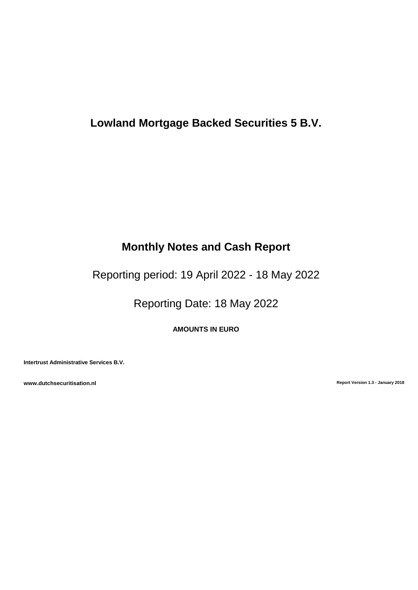# **Lowland Mortgage Backed Securities 5 B.V.**

# **Monthly Notes and Cash Report**

Reporting period: 19 April 2022 - 18 May 2022

Reporting Date: 18 May 2022

**AMOUNTS IN EURO**

**Intertrust Administrative Services B.V.**

**www.dutchsecuritisation.nl Report Version 1.3 - January 2018**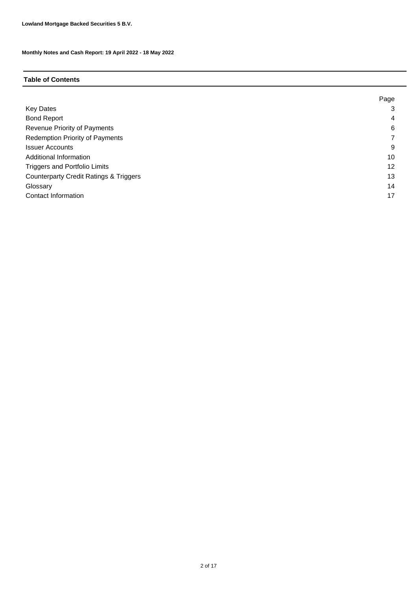### **Table of Contents**

|                                                   | Page |
|---------------------------------------------------|------|
| <b>Key Dates</b>                                  | З    |
| <b>Bond Report</b>                                | 4    |
| Revenue Priority of Payments                      | 6    |
| <b>Redemption Priority of Payments</b>            |      |
| <b>Issuer Accounts</b>                            | 9    |
| Additional Information                            | 10   |
| <b>Triggers and Portfolio Limits</b>              | 12   |
| <b>Counterparty Credit Ratings &amp; Triggers</b> | 13   |
| Glossary                                          | 14   |
| Contact Information                               | 17   |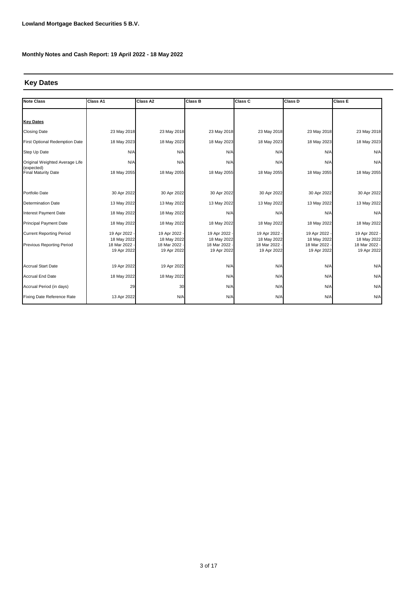# **Key Dates**

| <b>Note Class</b>                        | Class A1                   | Class A2                   | <b>Class B</b>             | Class C                      | <b>Class D</b>               | <b>Class E</b>               |
|------------------------------------------|----------------------------|----------------------------|----------------------------|------------------------------|------------------------------|------------------------------|
|                                          |                            |                            |                            |                              |                              |                              |
| <b>Key Dates</b>                         |                            |                            |                            |                              |                              |                              |
| <b>Closing Date</b>                      | 23 May 2018                | 23 May 2018                | 23 May 2018                | 23 May 2018                  | 23 May 2018                  | 23 May 2018                  |
| First Optional Redemption Date           | 18 May 2023                | 18 May 2023                | 18 May 2023                | 18 May 2023                  | 18 May 2023                  | 18 May 2023                  |
| Step Up Date                             | N/A                        | N/A                        | N/A                        | N/A                          | N/A                          | N/A                          |
| Original Weighted Average Life           | N/A                        | N/A                        | N/A                        | N/A                          | N/A                          | N/A                          |
| (expected)<br><b>Final Maturity Date</b> | 18 May 2055                | 18 May 2055                | 18 May 2055                | 18 May 2055                  | 18 May 2055                  | 18 May 2055                  |
|                                          |                            |                            |                            |                              |                              |                              |
| Portfolio Date                           | 30 Apr 2022                | 30 Apr 2022                | 30 Apr 2022                | 30 Apr 2022                  | 30 Apr 2022                  | 30 Apr 2022                  |
| Determination Date                       | 13 May 2022                | 13 May 2022                | 13 May 2022                | 13 May 2022                  | 13 May 2022                  | 13 May 2022                  |
| Interest Payment Date                    | 18 May 2022                | 18 May 2022                | N/A                        | N/A                          | N/A                          | N/A                          |
| <b>Principal Payment Date</b>            | 18 May 2022                | 18 May 2022                | 18 May 2022                | 18 May 2022                  | 18 May 2022                  | 18 May 2022                  |
| <b>Current Reporting Period</b>          | 19 Apr 2022 -              | 19 Apr 2022                | 19 Apr 2022 -              | 19 Apr 2022 -                | 19 Apr 2022 -                | 19 Apr 2022 -                |
| <b>Previous Reporting Period</b>         | 18 May 2022<br>18 Mar 2022 | 18 May 2022<br>18 Mar 2022 | 18 May 2022<br>18 Mar 2022 | 18 May 2022<br>18 Mar 2022 - | 18 May 2022<br>18 Mar 2022 - | 18 May 2022<br>18 Mar 2022 - |
|                                          | 19 Apr 2022                | 19 Apr 2022                | 19 Apr 2022                | 19 Apr 2022                  | 19 Apr 2022                  | 19 Apr 2022                  |
| <b>Accrual Start Date</b>                | 19 Apr 2022                | 19 Apr 2022                | N/A                        | N/A                          | N/A                          | N/A                          |
| <b>Accrual End Date</b>                  | 18 May 2022                | 18 May 2022                | N/A                        | N/A                          | N/A                          | N/A                          |
| Accrual Period (in days)                 | 29                         | 30                         | N/A                        | N/A                          | N/A                          | N/A                          |
| Fixing Date Reference Rate               | 13 Apr 2022                | N/A                        | N/A                        | N/A                          | N/A                          | N/A                          |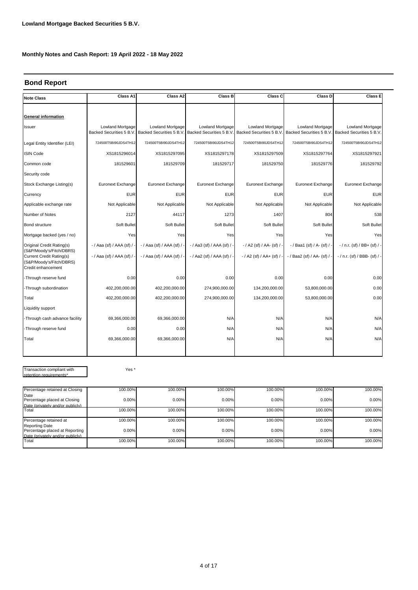### **Bond Report**

| <b>Note Class</b>                                                                                      | Class A1                                            | Class A2                                    | <b>Class B</b>                               | Class C                                             | Class D                      | Class E                                                                      |
|--------------------------------------------------------------------------------------------------------|-----------------------------------------------------|---------------------------------------------|----------------------------------------------|-----------------------------------------------------|------------------------------|------------------------------------------------------------------------------|
|                                                                                                        |                                                     |                                             |                                              |                                                     |                              |                                                                              |
| <b>General information</b>                                                                             |                                                     |                                             |                                              |                                                     |                              |                                                                              |
| Issuer                                                                                                 | <b>Lowland Mortgage</b><br>Backed Securities 5 B.V. | Lowland Mortgage<br>Backed Securities 5 B.V | Lowland Mortgage<br>Backed Securities 5 B.V. | <b>Lowland Mortgage</b><br>Backed Securities 5 B.V. | Lowland Mortgage             | <b>Lowland Mortgage</b><br>Backed Securities 5 B.V. Backed Securities 5 B.V. |
| Legal Entity Identifier (LEI)                                                                          | 724500T5BI90JDS4TH12                                | 724500T5BI90JDS4TH12                        | 724500T5BI90JDS4TH12                         | 724500T5BI90JDS4TH12                                | 724500T5BI90JDS4TH12         | 724500T5BI90JDS4TH12                                                         |
| <b>ISIN Code</b>                                                                                       | XS1815296014                                        | XS1815297095                                | XS1815297178                                 | XS1815297509                                        | XS1815297764                 | XS1815297921                                                                 |
| Common code                                                                                            | 181529601                                           | 181529709                                   | 181529717                                    | 181529750                                           | 181529776                    | 181529792                                                                    |
| Security code                                                                                          |                                                     |                                             |                                              |                                                     |                              |                                                                              |
| Stock Exchange Listing(s)                                                                              | Euronext Exchange                                   | Euronext Exchange                           | Euronext Exchange                            | Euronext Exchange                                   | Euronext Exchange            | Euronext Exchange                                                            |
| Currency                                                                                               | <b>EUR</b>                                          | <b>EUR</b>                                  | <b>EUR</b>                                   | <b>EUR</b>                                          | <b>EUR</b>                   | <b>EUR</b>                                                                   |
| Applicable exchange rate                                                                               | Not Applicable                                      | Not Applicable                              | Not Applicable                               | Not Applicable                                      | Not Applicable               | Not Applicable                                                               |
| Number of Notes                                                                                        | 2127                                                | 44117                                       | 1273                                         | 1407                                                | 804                          | 538                                                                          |
| <b>Bond structure</b>                                                                                  | Soft Bullet                                         | Soft Bullet                                 | Soft Bullet                                  | Soft Bullet                                         | Soft Bullet                  | Soft Bullet                                                                  |
| Mortgage backed (yes / no)                                                                             | Yes                                                 | Yes                                         | Yes                                          | Yes                                                 | Yesl                         | Yes                                                                          |
| Original Credit Rating(s)                                                                              | -/ Aaa (sf) / AAA (sf) /                            | $-$ / Aaa (sf) / AAA (sf) /                 | -/ Aa3 (sf) / AAA (sf) / -                   | - / A2 (sf) / AA- (sf) / -                          | -/Baa1 (sf) / A- (sf) / -    | $-$ / n.r. (sf) / BB+ (sf) / -                                               |
| (S&P/Moody's/Fitch/DBRS)<br>Current Credit Rating(s)<br>(S&P/Moody's/Fitch/DBRS)<br>Credit enhancement | - / Aaa (sf) / AAA (sf) / -                         | - / Aaa (sf) / AAA (sf) /                   | -/ Aa2 (sf) / AAA (sf) / -                   | $- / A2$ (sf) $/ A + (sf) /$                        | - / Baa2 (sf) / AA- (sf) / - | $-$ / n.r. (sf) / BBB- (sf) / -                                              |
| -Through reserve fund                                                                                  | 0.00                                                | 0.00                                        | 0.00                                         | 0.00                                                | 0.00                         | 0.00                                                                         |
| -Through subordination                                                                                 | 402,200,000.00                                      | 402,200,000.00                              | 274,900,000.00                               | 134,200,000.00                                      | 53,800,000.00                | 0.00                                                                         |
| Total                                                                                                  | 402,200,000.00                                      | 402,200,000.00                              | 274,900,000.00                               | 134,200,000.00                                      | 53,800,000.00                | 0.00                                                                         |
| Liquidity support                                                                                      |                                                     |                                             |                                              |                                                     |                              |                                                                              |
| -Through cash advance facility                                                                         | 69,366,000.00                                       | 69,366,000.00                               | N/A                                          | N/A                                                 | N/A                          | N/A                                                                          |
| -Through reserve fund                                                                                  | 0.00                                                | 0.00                                        | N/A                                          | N/A                                                 | N/A                          | N/A                                                                          |
| Total                                                                                                  | 69,366,000.00                                       | 69,366,000.00                               | N/A                                          | N/A                                                 | N/A                          | N/A                                                                          |
|                                                                                                        |                                                     |                                             |                                              |                                                     |                              |                                                                              |
|                                                                                                        |                                                     |                                             |                                              |                                                     |                              |                                                                              |
| Transaction compliant with<br>retention requirements*                                                  | Yes <sup>*</sup>                                    |                                             |                                              |                                                     |                              |                                                                              |

| Percentage retained at Closing                                                              | 100.00% | 100.00% | 100.00% | 100.00% | 100.00% | 100.00% |
|---------------------------------------------------------------------------------------------|---------|---------|---------|---------|---------|---------|
| Date                                                                                        |         |         |         |         |         |         |
| Percentage placed at Closing                                                                | 0.00%   | 0.00%   | 0.00%   | 0.00%   | 0.00%   | 0.00%   |
| Date (privately and/or publicly)                                                            |         |         |         |         |         |         |
| Total                                                                                       | 100.00% | 100.00% | 100.00% | 100.00% | 100.00% | 100.00% |
| Percentage retained at                                                                      | 100.00% | 100.00% | 100.00% | 100.00% | 100.00% | 100.00% |
| <b>Reporting Date</b><br>Percentage placed at Reporting<br>Date (privately and/or publicly) | 0.00%   | 0.00%   | 0.00%   | 0.00%   | 0.00%   | 0.00%   |
| Total                                                                                       | 100.00% | 100.00% | 100.00% | 100.00% | 100.00% | 100.00% |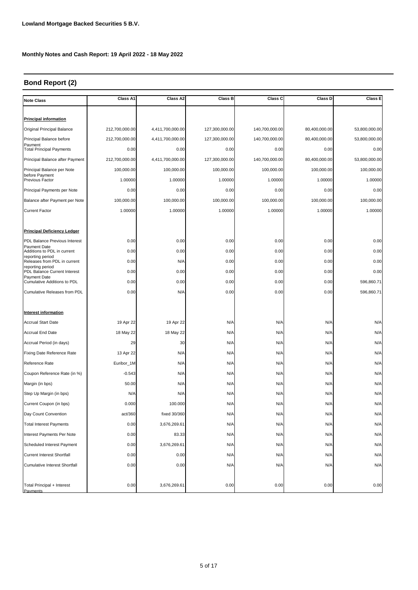# **Bond Report (2)**

| <b>Note Class</b>                                  | Class A1       | Class A2         | <b>Class B</b> | Class C        | Class D       | Class E       |
|----------------------------------------------------|----------------|------------------|----------------|----------------|---------------|---------------|
|                                                    |                |                  |                |                |               |               |
| <b>Principal information</b>                       |                |                  |                |                |               |               |
| Original Principal Balance                         | 212,700,000.00 | 4,411,700,000.00 | 127,300,000.00 | 140,700,000.00 | 80,400,000.00 | 53,800,000.00 |
| Principal Balance before                           | 212,700,000.00 | 4,411,700,000.00 | 127,300,000.00 | 140,700,000.00 | 80,400,000.00 | 53,800,000.00 |
| Payment<br><b>Total Principal Payments</b>         | 0.00           | 0.00             | 0.00           | 0.00           | 0.00          | 0.00          |
| Principal Balance after Payment                    | 212,700,000.00 | 4,411,700,000.00 | 127,300,000.00 | 140,700,000.00 | 80,400,000.00 | 53,800,000.00 |
| Principal Balance per Note                         | 100,000.00     | 100,000.00       | 100,000.00     | 100,000.00     | 100,000.00    | 100,000.00    |
| before Payment<br>Previous Factor                  | 1.00000        | 1.00000          | 1.00000        | 1.00000        | 1.00000       | 1.00000       |
| Principal Payments per Note                        | 0.00           | 0.00             | 0.00           | 0.00           | 0.00          | 0.00          |
| Balance after Payment per Note                     | 100,000.00     | 100,000.00       | 100,000.00     | 100,000.00     | 100,000.00    | 100,000.00    |
| <b>Current Factor</b>                              | 1.00000        | 1.00000          | 1.00000        | 1.00000        | 1.00000       | 1.00000       |
|                                                    |                |                  |                |                |               |               |
| <b>Principal Deficiency Ledger</b>                 |                |                  |                |                |               |               |
| PDL Balance Previous Interest                      | 0.00           | 0.00             | 0.00           | 0.00           | 0.00          | 0.00          |
| Payment Date<br>Additions to PDL in current        | 0.00           | 0.00             | 0.00           | 0.00           | 0.00          | 0.00          |
| reporting period<br>Releases from PDL in current   | 0.00           | N/A              | 0.00           | 0.00           | 0.00          | 0.00          |
| reporting period<br>PDL Balance Current Interest   | 0.00           | 0.00             | 0.00           | 0.00           | 0.00          | 0.00          |
| <b>Payment Date</b><br>Cumulative Additions to PDL | 0.00           | 0.00             | 0.00           | 0.00           | 0.00          | 596,860.71    |
| Cumulative Releases from PDL                       | 0.00           | N/A              | 0.00           | 0.00           | 0.00          | 596,860.71    |
|                                                    |                |                  |                |                |               |               |
| <b>Interest information</b>                        |                |                  |                |                |               |               |
| <b>Accrual Start Date</b>                          | 19 Apr 22      | 19 Apr 22        | N/A            | N/A            | N/A           | N/A           |
| <b>Accrual End Date</b>                            | 18 May 22      | 18 May 22        | N/A            | N/A            | N/A           | N/A           |
| Accrual Period (in days)                           | 29             | 30               | N/A            | N/A            | N/A           | N/A           |
| Fixing Date Reference Rate                         | 13 Apr 22      | N/A              | N/A            | N/A            | N/A           | N/A           |
| Reference Rate                                     | Euribor_1M     | N/A              | N/A            | N/A            | N/A           | N/A           |
| Coupon Reference Rate (in %)                       | $-0.543$       | N/A              | N/A            | N/A            | N/A           | N/A           |
| Margin (in bps)                                    | 50.00          | N/A              | N/A            | N/A            | N/A           | N/A           |
| Step Up Margin (in bps)                            | N/A            | N/A              | N/A            | N/A            | N/A           | N/A           |
| Current Coupon (in bps)                            | 0.000          | 100.000          | N/A            | N/A            | N/A           | N/A           |
| Day Count Convention                               | act/360        | fixed 30/360     | N/A            | N/A            | N/A           | N/A           |
| <b>Total Interest Payments</b>                     | 0.00           | 3,676,269.61     | N/A            | N/A            | N/A           | N/A           |
| Interest Payments Per Note                         | 0.00           | 83.33            | N/A            | N/A            | N/A           | N/A           |
| Scheduled Interest Payment                         | 0.00           | 3,676,269.61     | N/A            | N/A            | N/A           | N/A           |
| <b>Current Interest Shortfall</b>                  | 0.00           | 0.00             | N/A            | N/A            | N/A           | N/A           |
| <b>Cumulative Interest Shortfall</b>               | 0.00           | 0.00             | N/A            | N/A            | N/A           | N/A           |
|                                                    |                |                  |                |                |               |               |
| Total Principal + Interest<br>Payments             | 0.00           | 3,676,269.61     | 0.00           | 0.00           | 0.00          | 0.00          |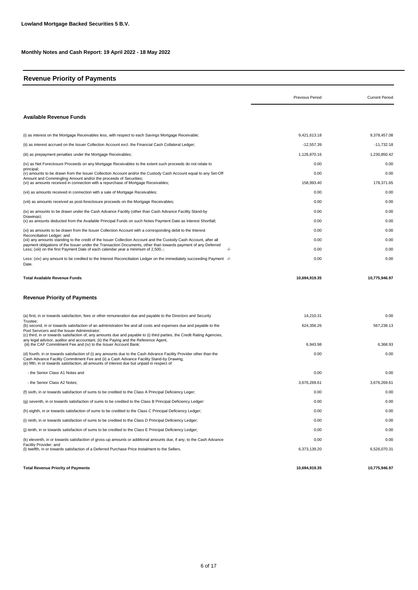### **Revenue Priority of Payments**

|                                                                                                                                                                                                                                                                                                               | <b>Previous Period</b> | <b>Current Period</b> |
|---------------------------------------------------------------------------------------------------------------------------------------------------------------------------------------------------------------------------------------------------------------------------------------------------------------|------------------------|-----------------------|
| <b>Available Revenue Funds</b>                                                                                                                                                                                                                                                                                |                        |                       |
| (i) as interest on the Mortgage Receivables less, with respect to each Savings Mortgage Receivable;                                                                                                                                                                                                           | 9,421,613.18           | 9,378,457.08          |
| (ii) as interest accrued on the Issuer Collection Account excl. the Financial Cash Collateral Ledger;                                                                                                                                                                                                         | $-12,557.39$           | $-11,732.18$          |
| (iii) as prepayment penalties under the Mortgage Receivables;                                                                                                                                                                                                                                                 | 1,126,870.16           | 1,230,850.42          |
| (iv) as Net Foreclosure Proceeds on any Mortgage Receivables to the extent such proceeds do not relate to                                                                                                                                                                                                     | 0.00                   | 0.00                  |
| principal:<br>(v) amounts to be drawn from the Issuer Collection Account and/or the Custody Cash Account equal to any Set-Off                                                                                                                                                                                 | 0.00                   | 0.00                  |
| Amount and Commingling Amount and/or the proceeds of Securities;<br>(vi) as amounts received in connection with a repurchase of Mortgage Receivables;                                                                                                                                                         | 158,993.40             | 178,371.65            |
| (vii) as amounts received in connection with a sale of Mortgage Receivables;                                                                                                                                                                                                                                  | 0.00                   | 0.00                  |
| (viii) as amounts received as post-foreclosure proceeds on the Mortgage Receivables;                                                                                                                                                                                                                          | 0.00                   | 0.00                  |
| (ix) as amounts to be drawn under the Cash Advance Facility (other than Cash Advance Facility Stand-by                                                                                                                                                                                                        | 0.00                   | 0.00                  |
| Drawings);<br>(x) as amounts deducted from the Available Principal Funds on such Notes Payment Date as Interest Shortfall;                                                                                                                                                                                    | 0.00                   | 0.00                  |
| (xi) as amounts to be drawn from the Issuer Collection Account with a corresponding debit to the Interest                                                                                                                                                                                                     | 0.00                   | 0.00                  |
| Reconciliation Ledger: and<br>(xii) any amounts standing to the credit of the Issuer Collection Account and the Custody Cash Account, after all                                                                                                                                                               | 0.00                   | 0.00                  |
| payment obligations of the Issuer under the Transaction Documents, other than towards payment of any Deferred<br>Less; (xiii) on the first Payment Date of each calendar year a minimum of 2,500,-;<br>-/-                                                                                                    | 0.00                   | 0.00                  |
| Less: (xiv) any amount to be credited to the Interest Reconciliation Ledger on the immediately succeeding Payment -/-<br>Date.                                                                                                                                                                                | 0.00                   | 0.00                  |
| <b>Total Available Revenue Funds</b>                                                                                                                                                                                                                                                                          | 10,694,919.35          | 10,775,946.97         |
| <b>Revenue Priority of Payments</b>                                                                                                                                                                                                                                                                           |                        |                       |
| (a) first, in or towards satisfaction, fees or other remuneration due and payable to the Directors and Security                                                                                                                                                                                               | 14,210.31              | 0.00                  |
| Trustee:<br>(b) second, in or towards satisfaction of an administration fee and all costs and expenses due and payable to the                                                                                                                                                                                 | 624,356.26             | 567,238.13            |
| Pool Servicers and the Issuer Administrator;<br>(c) third, in or towards satisfaction of, any amounts due and payable to (i) third parties, the Credit Rating Agencies,<br>any legal advisor, auditor and accountant, (ii) the Paying and the Reference Agent,                                                |                        |                       |
| (iii) the CAF Commitment Fee and (iv) to the Issuer Account Bank;                                                                                                                                                                                                                                             | 6,943.98               | 6,368.93              |
| (d) fourth, in or towards satisfaction of (i) any amounts due to the Cash Advance Facility Provider other than the<br>Cash Advance Facility Commitment Fee and (ii) a Cash Advance Facility Stand-by Drawing;<br>(e) fifth, in or towards satisfaction, all amounts of interest due but unpaid in respect of: | 0.00                   | 0.00                  |
| - the Senior Class A1 Notes and                                                                                                                                                                                                                                                                               | 0.00                   | 0.00                  |
| - the Senior Class A2 Notes;                                                                                                                                                                                                                                                                                  | 3,676,269.61           | 3,676,269.61          |
| (f) sixth, in or towards satisfaction of sums to be credited to the Class A Principal Deficiency Leger;                                                                                                                                                                                                       | 0.00                   | 0.00                  |
| (g) seventh, in or towards satisfaction of sums to be credited to the Class B Principal Deficiency Ledger:                                                                                                                                                                                                    | 0.00                   | 0.00                  |
| (h) eighth, in or towards satisfaction of sums to be credited to the Class C Principal Deficiency Ledger;                                                                                                                                                                                                     | 0.00                   | 0.00                  |
| (i) ninth, in or towards satisfaction of sums to be credited to the Class D Principal Deficiency Ledger;                                                                                                                                                                                                      | 0.00                   | 0.00                  |
| (j) tenth, in or towards satisfaction of sums to be credited to the Class E Principal Deficiency Ledger;                                                                                                                                                                                                      | 0.00                   | 0.00                  |
| (k) eleventh, in or towards satisfaction of gross-up amounts or additional amounts due, if any, to the Cash Advance                                                                                                                                                                                           | 0.00                   | 0.00                  |
| Facility Provider: and<br>(I) twelfth, in or towards satisfaction of a Deferred Purchase Price Instalment to the Sellers.                                                                                                                                                                                     | 6,373,139.20           | 6,526,070.31          |
| <b>Total Revenue Priority of Payments</b>                                                                                                                                                                                                                                                                     | 10,694,919.35          | 10,775,946.97         |

**Total Revenue Priority of Payments 10,694,919.35**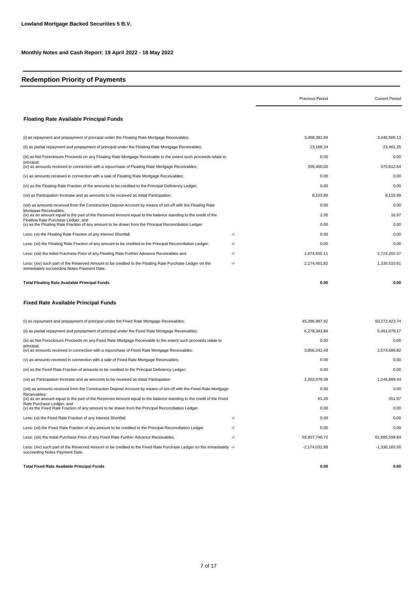# **Redemption Priority of Payments**

|                                                                                                                                                        |     | <b>Previous Period</b> | <b>Current Period</b> |
|--------------------------------------------------------------------------------------------------------------------------------------------------------|-----|------------------------|-----------------------|
| <b>Floating Rate Available Principal Funds</b>                                                                                                         |     |                        |                       |
| (i) as repayment and prepayment of principal under the Floating Rate Mortgage Receivables;                                                             |     | 3,458,381.94           | 3,446,506.13          |
| (ii) as partial repayment and prepayment of principal under the Floating Rate Mortgage Receivables;                                                    |     | 23,168.24              | 23,461.25             |
| (iii) as Net Foreclosure Proceeds on any Floating Rate Mortgage Receivable to the extent such proceeds relate to                                       |     | 0.00                   | 0.00                  |
| principal;<br>(iv) as amounts received in connection with a repurchase of Floating Rate Mortgage Receivables;                                          |     | 359,400.00             | 575,612.64            |
| (v) as amounts received in connection with a sale of Floating Rate Mortgage Receivables;                                                               |     | 0.00                   | 0.00                  |
| (vi) as the Floating Rate Fraction of the amounts to be credited to the Principal Deficiency Ledger;                                                   |     | 0.00                   | 0.00                  |
| (vii) as Participation Increase and as amounts to be received as Initial Participation;                                                                |     | 8,103.80               | 8,115.99              |
| (viii) as amounts received from the Construction Deposit Account by means of set-off with the Floating Rate                                            |     | 0.00                   | 0.00                  |
| Mortgage Receivables;<br>(ix) as an amount equal to the part of the Reserved Amount equal to the balance standing to the credit of the                 |     | 2.95                   | 16.97                 |
| Floating Rate Purchase Ledger; and<br>(x) as the Floating Rate Fraction of any amount to be drawn from the Principal Reconciliation Ledger.            |     | 0.00                   | 0.00                  |
| Less: (xi) the Floating Rate Fraction of any Interest Shortfall;                                                                                       | -/- | 0.00                   | 0.00                  |
| Less: (xii) the Floating Rate Fraction of any amount to be credited to the Principal Reconciliation Ledger;                                            | -/- | 0.00                   | 0.00                  |
| Less: (xiii) the Initial Purchase Price of any Floating Rate Further Advance Receivables and                                                           | -/- | 1,674,655.11           | 2,723,202.37          |
| Less: (xiv) such part of the Reserved Amount to be credited to the Floating Rate Purchase Ledger on the<br>immediately succeeding Notes Payment Date.  | -/- | 2,174,401.82           | 1,330,510.61          |
| Total Floating Rate Available Principal Funds                                                                                                          |     | 0.00                   | 0.00                  |
| Fixed Rate Available Principal Funds                                                                                                                   |     |                        |                       |
| (i) as repayment and prepayment of principal under the Fixed Rate Mortgage Receivables;                                                                |     | 45,296,987.92          | 50,272,423.74         |
| (ii) as partial repayment and prepayment of principal under the Fixed Rate Mortgage Receivables;                                                       |     | 6,278,343.86           | 6,461,079.17          |
| (iii) as Net Foreclosure Proceeds on any Fixed Rate Mortgage Receivable to the extent such proceeds relate to                                          |     | 0.00                   | 0.00                  |
| principal;<br>(iv) as amounts received in connection with a repurchase of Fixed Rate Mortgage Receivables;                                             |     | 3,856,241.48           | 2,574,689.82          |
| (v) as amounts received in connection with a sale of Fixed Rate Mortgage Receivables;                                                                  |     | 0.00                   | 0.00                  |
| (vi) as the Fixed Rate Fraction of amounts to be credited to the Principal Deficiency Ledger;                                                          |     | 0.00                   | 0.00                  |
| (vii) as Participation Increase and as amounts to be received as Initial Participation                                                                 |     | 1,202,079.38           | 1,246,889.44          |
| (viii) as amounts received from the Construction Deposit Account by means of set-off with the Fixed Rate Mortgage                                      |     | 0.00                   | 0.00                  |
| Receivables;<br>(ix) as an amount equal to the part of the Reserved Amount equal to the balance standing to the credit of the Fixed                    |     | 61.20                  | 351.97                |
| Rate Purchase Ledger; and<br>(x) as the Fixed Rate Fraction of any amount to be drawn from the Principal Reconciliation Ledger.                        |     | 0.00                   | 0.00                  |
| Less: (xi) the Fixed Rate Fraction of any Interest Shortfall;                                                                                          | -/- | 0.00                   | 0.00                  |
| Less: (xii) the Fixed Rate Fraction of any amount to be credited to the Principal Reconciliation Ledger.                                               | -/- | 0.00                   | 0.00                  |
| Less: (xiii) the Initial Purchase Price of any Fixed Rate Further Advance Receivables.                                                                 | -/- | 58,807,746.72          | 61,885,599.64         |
| Less: (xiv) such part of the Reserved Amount to be credited to the Fixed Rate Purchase Ledger on the immediately -/-<br>succeeding Notes Payment Date. |     | $-2,174,032.88$        | $-1,330,165.50$       |
| Total Fixed Rate Available Principal Funds                                                                                                             |     | 0.00                   | 0.00                  |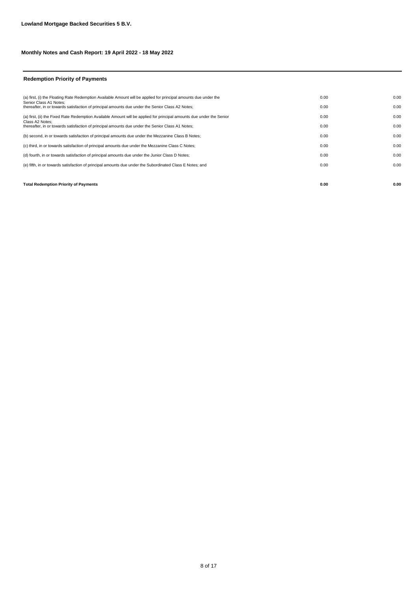#### **Redemption Priority of Payments**

| <b>Total Redemption Priority of Payments</b>                                                                               | 0.00 | 0.00 |
|----------------------------------------------------------------------------------------------------------------------------|------|------|
|                                                                                                                            |      |      |
| (e) fifth, in or towards satisfaction of principal amounts due under the Subordinated Class E Notes; and                   | 0.00 | 0.00 |
| (d) fourth, in or towards satisfaction of principal amounts due under the Junior Class D Notes;                            | 0.00 | 0.00 |
| (c) third, in or towards satisfaction of principal amounts due under the Mezzanine Class C Notes;                          | 0.00 | 0.00 |
| (b) second, in or towards satisfaction of principal amounts due under the Mezzanine Class B Notes;                         | 0.00 | 0.00 |
| Class A2 Notes:<br>thereafter, in or towards satisfaction of principal amounts due under the Senior Class A1 Notes;        | 0.00 | 0.00 |
| (a) first, (ii) the Fixed Rate Redemption Available Amount will be applied for principal amounts due under the Senior      | 0.00 | 0.00 |
| Senior Class A1 Notes:<br>thereafter, in or towards satisfaction of principal amounts due under the Senior Class A2 Notes; | 0.00 | 0.00 |
| (a) first, (i) the Floating Rate Redemption Available Amount will be applied for principal amounts due under the           | 0.00 | 0.00 |
|                                                                                                                            |      |      |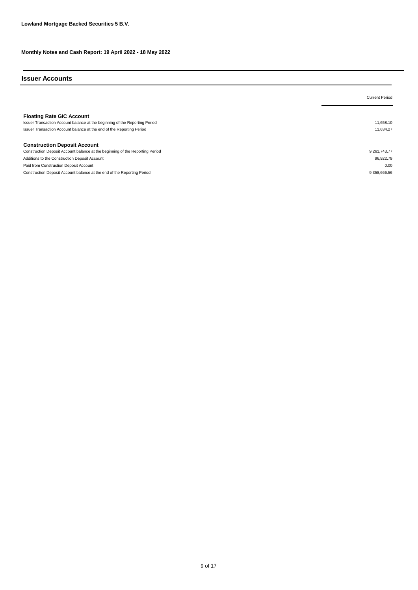#### **Issuer Accounts**

|                                                                                                                                                                                          | <b>Current Period</b>  |
|------------------------------------------------------------------------------------------------------------------------------------------------------------------------------------------|------------------------|
| <b>Floating Rate GIC Account</b><br>Issuer Transaction Account balance at the beginning of the Reporting Period<br>Issuer Transaction Account balance at the end of the Reporting Period | 11.658.10<br>11.634.27 |
| <b>Construction Deposit Account</b>                                                                                                                                                      |                        |
| Construction Deposit Account balance at the beginning of the Reporting Period                                                                                                            | 9.261.743.77           |
| Additions to the Construction Deposit Account                                                                                                                                            | 96.922.79              |
| Paid from Construction Deposit Account                                                                                                                                                   | 0.00                   |
| Construction Deposit Account balance at the end of the Reporting Period                                                                                                                  | 9.358.666.56           |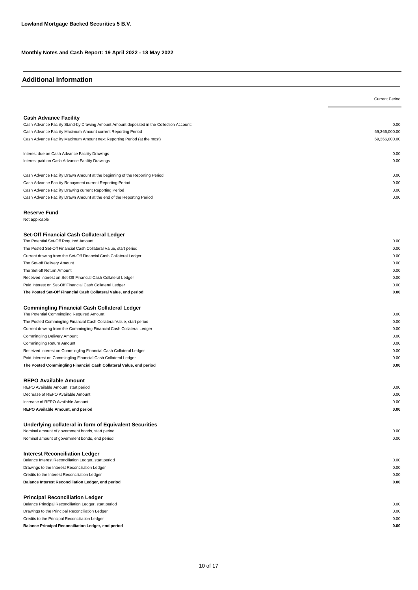### **Additional Information**

|                                                                                                                                                            | <b>Current Period</b> |
|------------------------------------------------------------------------------------------------------------------------------------------------------------|-----------------------|
|                                                                                                                                                            |                       |
| <b>Cash Advance Facility</b>                                                                                                                               |                       |
| Cash Advance Facility Stand-by Drawing Amount Amount deposited in the Collection Account:<br>Cash Advance Facility Maximum Amount current Reporting Period | 0.00<br>69,366,000.00 |
| Cash Advance Facility Maximum Amount next Reporting Period (at the most)                                                                                   | 69,366,000.00         |
|                                                                                                                                                            |                       |
| Interest due on Cash Advance Facility Drawings                                                                                                             | 0.00                  |
| Interest paid on Cash Advance Facility Drawings                                                                                                            | 0.00                  |
|                                                                                                                                                            |                       |
| Cash Advance Facility Drawn Amount at the beginning of the Reporting Period<br>Cash Advance Facility Repayment current Reporting Period                    | 0.00<br>0.00          |
| Cash Advance Facility Drawing current Reporting Period                                                                                                     | 0.00                  |
| Cash Advance Facility Drawn Amount at the end of the Reporting Period                                                                                      | 0.00                  |
| <b>Reserve Fund</b>                                                                                                                                        |                       |
| Not applicable                                                                                                                                             |                       |
| Set-Off Financial Cash Collateral Ledger                                                                                                                   |                       |
| The Potential Set-Off Required Amount                                                                                                                      | 0.00                  |
| The Posted Set-Off Financial Cash Collateral Value, start period                                                                                           | 0.00                  |
| Current drawing from the Set-Off Financial Cash Collateral Ledger                                                                                          | 0.00                  |
| The Set-off Delivery Amount                                                                                                                                | 0.00                  |
| The Set-off Return Amount                                                                                                                                  | 0.00                  |
| Received Interest on Set-Off Financial Cash Collateral Ledger                                                                                              | 0.00<br>0.00          |
| Paid Interest on Set-Off Financial Cash Collateral Ledger<br>The Posted Set-Off Financial Cash Collateral Value, end period                                | 0.00                  |
|                                                                                                                                                            |                       |
| <b>Commingling Financial Cash Collateral Ledger</b>                                                                                                        |                       |
| The Potential Commingling Required Amount                                                                                                                  | 0.00                  |
| The Posted Commingling Financial Cash Collateral Value, start period                                                                                       | 0.00                  |
| Current drawing from the Commingling Financial Cash Collateral Ledger                                                                                      | 0.00                  |
| <b>Commingling Delivery Amount</b>                                                                                                                         | 0.00<br>0.00          |
| Commingling Return Amount<br>Received Interest on Commingling Financial Cash Collateral Ledger                                                             | 0.00                  |
| Paid Interest on Commingling Financial Cash Collateral Ledger                                                                                              | 0.00                  |
| The Posted Commingling Financial Cash Collateral Value, end period                                                                                         | 0.00                  |
|                                                                                                                                                            |                       |
| <b>REPO Available Amount</b>                                                                                                                               |                       |
| REPO Available Amount, start period                                                                                                                        | 0.00                  |
| Decrease of REPO Available Amount                                                                                                                          | 0.00                  |
| Increase of REPO Available Amount                                                                                                                          | 0.00                  |
| REPO Available Amount, end period                                                                                                                          | 0.00                  |
| Underlying collateral in form of Equivalent Securities                                                                                                     |                       |
| Nominal amount of government bonds, start period                                                                                                           | 0.00                  |
| Nominal amount of government bonds, end period                                                                                                             | 0.00                  |
| <b>Interest Reconciliation Ledger</b>                                                                                                                      |                       |
| Balance Interest Reconciliation Ledger, start period                                                                                                       | 0.00                  |
| Drawings to the Interest Reconciliation Ledger                                                                                                             | 0.00                  |
| Credits to the Interest Reconciliation Ledger                                                                                                              | 0.00                  |
| Balance Interest Reconciliation Ledger, end period                                                                                                         | 0.00                  |
| <b>Principal Reconciliation Ledger</b>                                                                                                                     |                       |
| Balance Principal Reconciliation Ledger, start period                                                                                                      | 0.00                  |
| Drawings to the Principal Reconciliation Ledger                                                                                                            | 0.00                  |
| Credits to the Principal Reconciliation Ledger                                                                                                             | 0.00                  |
| Balance Principal Reconciliation Ledger, end period                                                                                                        | 0.00                  |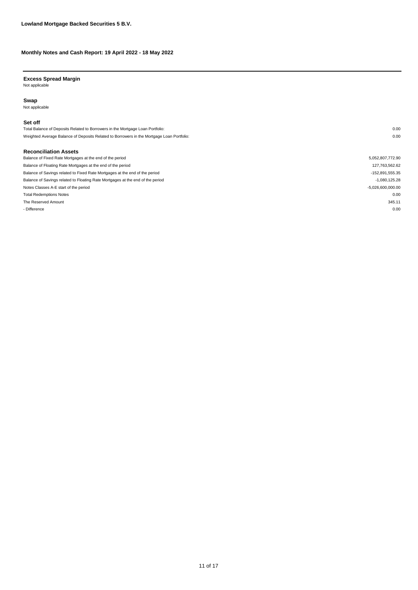**Excess Spread Margin** Not applicable

#### **Swap**

Not applicable

#### **Set off**

Total Balance of Deposits Related to Borrowers in the Mortgage Loan Portfolio: 0.00 Weighted Average Balance of Deposits Related to Borrowers in the Mortgage Loan Portfolio: 0.00

#### **Reconciliation Assets**

| Balance of Fixed Rate Mortgages at the end of the period                       | 5,052,807,772.90    |
|--------------------------------------------------------------------------------|---------------------|
| Balance of Floating Rate Mortgages at the end of the period                    | 127,763,562.62      |
| Balance of Savings related to Fixed Rate Mortgages at the end of the period    | -152,891,555.35     |
| Balance of Savings related to Floating Rate Mortgages at the end of the period | $-1.080.125.28$     |
| Notes Classes A-E start of the period                                          | $-5.026.600.000.00$ |
| <b>Total Redemptions Notes</b>                                                 | 0.00                |
| The Reserved Amount                                                            | 345.11              |
| - Difference                                                                   | 0.00                |
|                                                                                |                     |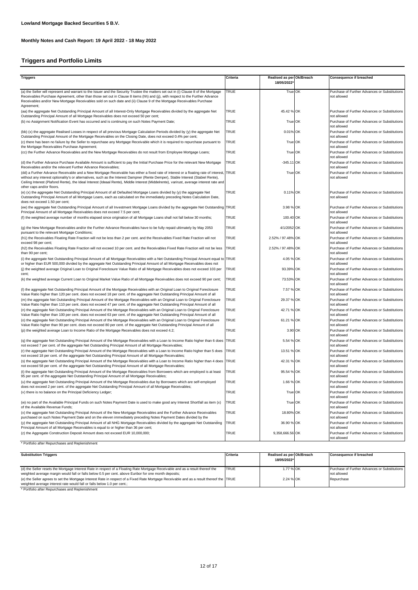### **Triggers and Portfolio Limits**

| <b>Triggers</b>                                                                                                                                                                                                                                                                                                                                                                                                                                       | Criteria    | Realised as per Ok/Breach<br>18/05/2022 | <b>Consequence if breached</b>                               |
|-------------------------------------------------------------------------------------------------------------------------------------------------------------------------------------------------------------------------------------------------------------------------------------------------------------------------------------------------------------------------------------------------------------------------------------------------------|-------------|-----------------------------------------|--------------------------------------------------------------|
| (a) the Seller will represent and warrant to the Issuer and the Security Trustee the matters set out in (i) Clause 8 of the Mortgage<br>Receivables Purchase Agreement, other than those set out in Clause 8 items (hh) and (jj), with respect to the Further Advance<br>Receivables and/or New Mortgage Receivables sold on such date and (ii) Clause 9 of the Mortgage Receivables Purchase<br>Agreement;                                           | TRUE        | True OK                                 | Purchase of Further Advances or Substitutions<br>not allowed |
| (aa) the aggregate Net Outstanding Principal Amount of all Interest-Only Mortgage Receivables divided by the aggregate Net<br>Outstanding Principal Amount of all Mortgage Receivables does not exceed 50 per cent;                                                                                                                                                                                                                                   | TRUE        | 45.42 % OK                              | Purchase of Further Advances or Substitutions<br>not allowed |
| (b) no Assignment Notification Event has occurred and is continuing on such Notes Payment Date;                                                                                                                                                                                                                                                                                                                                                       | TRUE        | True OK                                 | Purchase of Further Advances or Substitutions<br>not allowed |
| (bb) (x) the aggregate Realised Losses in respect of all previous Mortgage Calculation Periods divided by (y) the aggregate Net<br>Outstanding Principal Amount of the Mortgage Receivables on the Closing Date, does not exceed 0.4% per cent;                                                                                                                                                                                                       | TRUE        | 0.01% OK                                | Purchase of Further Advances or Substitutions<br>not allowed |
| (c) there has been no failure by the Seller to repurchase any Mortgage Receivable which it is required to repurchase pursuant to<br>the Mortgage Receivables Purchase Agreement;                                                                                                                                                                                                                                                                      | TRUE        | True OK                                 | Purchase of Further Advances or Substitutions<br>not allowed |
| (cc) the Further Advance Receivables and the New Mortgage Receivables do not result from Employee Mortgage Loans;                                                                                                                                                                                                                                                                                                                                     | TRUE        | True OK                                 | Purchase of Further Advances or Substitutions<br>not allowed |
| (d) the Further Advance Purchase Available Amount is sufficient to pay the Initial Purchase Price for the relevant New Mortgage<br>Receivables and/or the relevant Further Advance Receivables;                                                                                                                                                                                                                                                       | TRUE        | -345.11 OK                              | Purchase of Further Advances or Substitutions<br>not allowed |
| (dd) a Further Advance Receivable and a New Mortgage Receivable has either a fixed rate of interest or a floating rate of interest, TRUE<br>without any interest optionality's or alternatives, such as the Interest Dampner (Rente Demper), Stable Interest (Stabiel Rente),<br>Ceiling Interest (Plafond Rente), the Ideal Interest (Ideaal Rente), Middle Interest (Middelrente), varirust, average interest rate and<br>other caps and/or floors. |             | True OK                                 | Purchase of Further Advances or Substitutions<br>not allowed |
| (e) (x) the aggregate Net Outstanding Principal Amount of all Defaulted Mortgage Loans divided by (y) the aggregate Net<br>Outstanding Principal Amount of all Mortgage Loans, each as calculated on the immediately preceding Notes Calculation Date,<br>does not exceed 1.50 per cent;                                                                                                                                                              | TRUE        | 0.11% OK                                | Purchase of Further Advances or Substitutions<br>not allowed |
| (ee) the aggregate Net Outstanding Principal Amount of all Investment Mortgage Loans divided by the aggregate Net Outstanding TRUE<br>Principal Amount of all Mortgage Receivables does not exceed 7.5 per cent;                                                                                                                                                                                                                                      |             | 3.98 % OK                               | Purchase of Further Advances or Substitutions<br>not allowed |
| (f) the weighted average number of months elapsed since origination of all Mortgage Loans shall not fall below 30 months;                                                                                                                                                                                                                                                                                                                             | TRUE        | 100.40 OK                               | Purchase of Further Advances or Substitutions<br>not allowed |
| (g) the New Mortgage Receivables and/or the Further Advance Receivables have to be fully repaid ultimately by May 2053<br>pursuant to the relevant Mortgage Conditions;                                                                                                                                                                                                                                                                               | TRUE        | 4/1/2052 OK                             | Purchase of Further Advances or Substitutions<br>not allowed |
| (h1) the Receivables Floating Rate Fraction will not be less than 2 per cent. and the Receivables Fixed Rate Fraction will not<br>exceed 98 per cent;                                                                                                                                                                                                                                                                                                 | TRUE        | 2.52% / 97.48% OK                       | Purchase of Further Advances or Substitutions<br>not allowed |
| (h2) the Receivables Floating Rate Fraction will not exceed 10 per cent. and the Receivables Fixed Rate Fraction will not be less<br>than 90 per cent;                                                                                                                                                                                                                                                                                                | <b>TRUE</b> | 2.52% / 97.48% OK                       | Purchase of Further Advances or Substitutions<br>not allowed |
| (i) the aggregate Net Outstanding Principal Amount of all Mortgage Receivables with a Net Outstanding Principal Amount equal to TRUE<br>or higher than EUR 500,000 divided by the aggregate Net Outstanding Principal Amount of all Mortgage Receivables does not                                                                                                                                                                                     |             | 4.05 % OK                               | Purchase of Further Advances or Substitutions<br>not allowed |
| (i) the weighted average Original Loan to Original Foreclosure Value Ratio of all Mortgage Receivables does not exceed 103 per<br>cent;                                                                                                                                                                                                                                                                                                               | <b>TRUE</b> | 93.39% OK                               | Purchase of Further Advances or Substitutions<br>not allowed |
| (k) the weighted average Current Loan to Original Market Value Ratio of all Mortgage Receivables does not exceed 90 per cent;                                                                                                                                                                                                                                                                                                                         | TRUE        | 73.53% OK                               | Purchase of Further Advances or Substitutions<br>not allowed |
| (I) the aggregate Net Outstanding Principal Amount of the Mortgage Receivables with an Original Loan to Original Foreclosure<br>Value Ratio higher than 120 per cent. does not exceed 18 per cent. of the aggregate Net Outstanding Principal Amount of all                                                                                                                                                                                           | <b>TRUE</b> | 7.57 % OK                               | Purchase of Further Advances or Substitutions<br>not allowed |
| (m) the aggregate Net Outstanding Principal Amount of the Mortgage Receivables with an Original Loan to Original Foreclosure<br>Value Ratio higher than 110 per cent. does not exceed 47 per cent. of the aggregate Net Outstanding Principal Amount of all                                                                                                                                                                                           | TRUE        | 29.37 % OK                              | Purchase of Further Advances or Substitutions<br>not allowed |
| (n) the aggregate Net Outstanding Principal Amount of the Mortgage Receivables with an Original Loan to Original Foreclosure<br>Value Ratio higher than 100 per cent. does not exceed 63 per cent. of the aggregate Net Outstanding Principal Amount of all                                                                                                                                                                                           | TRUE        | 42.71 % OK                              | Purchase of Further Advances or Substitutions<br>not allowed |
| (o) the aggregate Net Outstanding Principal Amount of the Mortgage Receivables with an Original Loan to Original Foreclosure<br>Value Ratio higher than 90 per cent. does not exceed 80 per cent. of the aggregate Net Outstanding Principal Amount of all                                                                                                                                                                                            | TRUE        | 61.21 % OK                              | Purchase of Further Advances or Substitutions<br>not allowed |
| (p) the weighted average Loan to Income Ratio of the Mortgage Receivables does not exceed 4.2;                                                                                                                                                                                                                                                                                                                                                        | TRUE        | 3.90 OK                                 | Purchase of Further Advances or Substitutions<br>not allowed |
| (q) the aggregate Net Outstanding Principal Amount of the Mortgage Receivables with a Loan to Income Ratio higher than 6 does TRUE<br>not exceed 7 per cent. of the aggregate Net Outstanding Principal Amount of all Mortgage Receivables;                                                                                                                                                                                                           |             | 5.54 % OK                               | Purchase of Further Advances or Substitutions<br>not allowed |
| (r) the aggregate Net Outstanding Principal Amount of the Mortgage Receivables with a Loan to Income Ratio higher than 5 does<br>not exceed 18 per cent. of the aggregate Net Outstanding Principal Amount of all Mortgage Receivables;                                                                                                                                                                                                               | <b>TRUE</b> | 13.51 % OK                              | Purchase of Further Advances or Substitutions<br>not allowed |
| (s) the aggregate Net Outstanding Principal Amount of the Mortgage Receivables with a Loan to Income Ratio higher than 4 does<br>not exceed 58 per cent. of the aggregate Net Outstanding Principal Amount of all Mortgage Receivables;                                                                                                                                                                                                               | <b>TRUE</b> | 42.31 % OK                              | Purchase of Further Advances or Substitutions<br>not allowed |
| (t) the aggregate Net Outstanding Principal Amount of the Mortgage Receivables from Borrowers which are employed is at least<br>95 per cent. of the aggregate Net Outstanding Principal Amount of all Mortgage Receivables;                                                                                                                                                                                                                           | TRUE        | 95.54 % OK                              | Purchase of Further Advances or Substitutions<br>not allowed |
| (u) the aggregate Net Outstanding Principal Amount of the Mortgage Receivables due by Borrowers which are self-employed<br>does not exceed 2 per cent. of the aggregate Net Outstanding Principal Amount of all Mortgage Receivables;                                                                                                                                                                                                                 | TRUE        | 1.66 % OK                               | Purchase of Further Advances or Substitutions<br>not allowed |
| (v) there is no balance on the Principal Deficiency Ledger;                                                                                                                                                                                                                                                                                                                                                                                           | TRUE        | True OK                                 | Purchase of Further Advances or Substitutions<br>not allowed |
| (w) no part of the Available Principal Funds on such Notes Payment Date is used to make good any Interest Shortfall as item (x)<br>of the Available Revenue Funds;                                                                                                                                                                                                                                                                                    | TRUE        | True OK                                 | Purchase of Further Advances or Substitutions<br>not allowed |
| (x) the aggregate Net Outstanding Principal Amount of the New Mortgage Receivables and the Further Advance Receivables<br>purchased on such Notes Payment Date and on the eleven immediately preceding Notes Payment Dates divided by the                                                                                                                                                                                                             | TRUE        | 18.80% OK                               | Purchase of Further Advances or Substitutions<br>not allowed |
| (y) the aggregate Net Outstanding Principal Amount of all NHG Mortgage Receivables divided by the aggregate Net Outstanding<br>Principal Amount of all Mortgage Receivables is equal to or higher than 36 per cent;                                                                                                                                                                                                                                   | <b>TRUE</b> | 36.90 % OK                              | Purchase of Further Advances or Substitutions<br>not allowed |
| (z) the Aggregate Construction Deposit Amount does not exceed EUR 10,000,000;                                                                                                                                                                                                                                                                                                                                                                         | TRUE        | 9,358,666.56 OK                         | Purchase of Further Advances or Substitutions<br>not allowed |
| * Portfolio after Repurchases and Replenishment                                                                                                                                                                                                                                                                                                                                                                                                       |             |                                         |                                                              |

| <b>Substitution Triggers</b>                                                                                                                                                                                                            | Criteria    | Realised as per Ok/Breach<br>18/05/2022* | <b>Consequence if breached</b>                               |
|-----------------------------------------------------------------------------------------------------------------------------------------------------------------------------------------------------------------------------------------|-------------|------------------------------------------|--------------------------------------------------------------|
| (d) the Seller resets the Mortgage Interest Rate in respect of a Floating Rate Mortgage Receivable and as a result thereof the<br>weighted average margin would fall or falls below 0.5 per cent. above Euribor for one month deposits; | <b>TRUE</b> | 1.77 % OK                                | Purchase of Further Advances or Substitutions<br>not allowed |
| (e) the Seller agrees to set the Mortgage Interest Rate in respect of a Fixed Rate Mortgage Receivable and as a result thereof the TRUE<br>weighted average interest rate would fall or falls below 1.0 per cent.;                      |             | 2.24 % OK                                | Repurchase                                                   |

\* Portfolio after Repurchases and Replenishment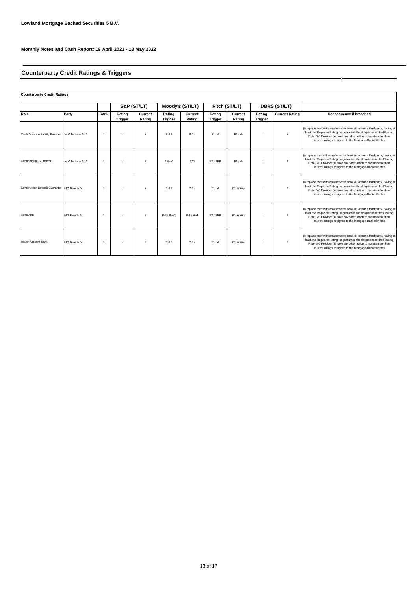# **Counterparty Credit Ratings & Triggers**

| <b>Counterparty Credit Ratings</b>           |                   |                |                          |                   |                          |                   |                          |                   |                          |                       |                                                                                                                                                                                                                                                                                              |
|----------------------------------------------|-------------------|----------------|--------------------------|-------------------|--------------------------|-------------------|--------------------------|-------------------|--------------------------|-----------------------|----------------------------------------------------------------------------------------------------------------------------------------------------------------------------------------------------------------------------------------------------------------------------------------------|
|                                              |                   |                | S&P (ST/LT)              |                   | Moody's (ST/LT)          |                   | Fitch (ST/LT)            |                   | <b>DBRS (ST/LT)</b>      |                       |                                                                                                                                                                                                                                                                                              |
| Role                                         | Party             | Rank           | Rating<br><b>Trigger</b> | Current<br>Rating | Rating<br><b>Trigger</b> | Current<br>Rating | Rating<br><b>Trigger</b> | Current<br>Rating | Rating<br><b>Trigger</b> | <b>Current Rating</b> | <b>Consequence if breached</b>                                                                                                                                                                                                                                                               |
| Cash Advance Facility Provider               | de Volksbank N.V. | -1             |                          |                   | $P-1/$                   | $P-1/$            | F1/A                     | $F1/A-$           |                          |                       | (i) replace itself with an alternative bank (ii) obtain a third party, having at<br>least the Requisite Rating, to guarantee the obligations of the Floating<br>Rate GIC Provider (iii) take any other action to maintain the then<br>current ratings assigned to the Mortgage-Backed Notes. |
| <b>Commingling Guarantor</b>                 | de Volksbank N.V. | $\overline{1}$ |                          |                   | / Baa1                   | / A2              | F <sub>2</sub> /BBB      | $F1/A-$           |                          |                       | (i) replace itself with an alternative bank (ii) obtain a third party, having at<br>least the Requisite Rating, to guarantee the obligations of the Floating<br>Rate GIC Provider (iii) take any other action to maintain the then<br>current ratings assigned to the Mortgage-Backed Notes. |
| Construction Deposit Guarantor ING Bank N.V. |                   | -1             |                          |                   | $P-1/$                   | $P-1/$            | F1/A                     | $F1 + A$          |                          |                       | (i) replace itself with an alternative bank (ii) obtain a third party, having at<br>least the Requisite Rating, to guarantee the obligations of the Floating<br>Rate GIC Provider (iii) take any other action to maintain the then<br>current ratings assigned to the Mortgage-Backed Notes. |
| Custodian                                    | ING Bank N.V.     | $\overline{1}$ |                          |                   | P-2 / Baa2               | P-1 / Aa3         | F <sub>2</sub> /BBB      | $F1 + A$          |                          |                       | (i) replace itself with an alternative bank (ii) obtain a third party, having at<br>least the Requisite Rating, to guarantee the obligations of the Floating<br>Rate GIC Provider (iii) take any other action to maintain the then<br>current ratings assigned to the Mortgage-Backed Notes. |
| <b>Issuer Account Bank</b>                   | ING Bank N.V.     | $\overline{1}$ |                          |                   | $P-1/$                   | $P-1/$            | F1/A                     | $F1 + A$          |                          |                       | (i) replace itself with an alternative bank (ii) obtain a third party, having at<br>least the Requisite Rating, to guarantee the obligations of the Floating<br>Rate GIC Provider (iii) take any other action to maintain the then<br>current ratings assigned to the Mortgage-Backed Notes. |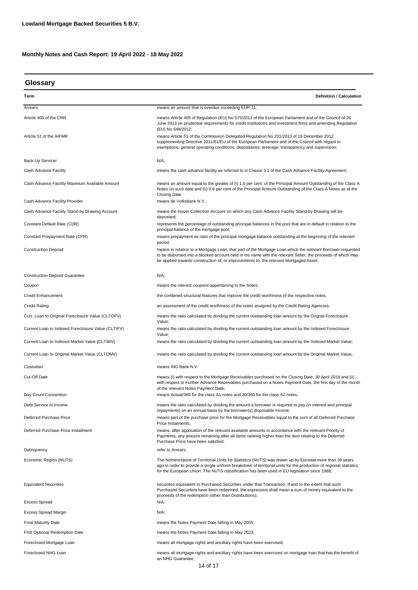| Glossary |  |
|----------|--|
|----------|--|

| Term                                               | <b>Definition / Calculation</b>                                                                                                                                                                                                                                                                                             |  |  |  |
|----------------------------------------------------|-----------------------------------------------------------------------------------------------------------------------------------------------------------------------------------------------------------------------------------------------------------------------------------------------------------------------------|--|--|--|
| Arrears                                            | means an amount that is overdue exceeding EUR 11;                                                                                                                                                                                                                                                                           |  |  |  |
| Article 405 of the CRR                             | means Article 405 of Regulation (EU) No 575/2013 of the European Parliament and of the Council of 26<br>June 2013 on prudential requirements for credit institutions and investment firms and amending Regulation<br>(EU) No 648/2012;                                                                                      |  |  |  |
| Article 51 of the AIFMR                            | means Article 51 of the Commission Delegated Regulation No 231/2013 of 19 December 2012<br>supplementing Directive 2011/61/EU of the European Parliament and of the Council with regard to<br>exemptions, general operating conditions, depositaries, leverage, transparency and supervision;                               |  |  |  |
| Back-Up Servicer                                   | $N/A$ ;                                                                                                                                                                                                                                                                                                                     |  |  |  |
| Cash Advance Facility                              | means the cash advance facility as referred to in Clause 3.1 of the Cash Advance Facility Agreement;                                                                                                                                                                                                                        |  |  |  |
| Cash Advance Facility Maximum Available Amount     | means an amount equal to the greater of (i) 1.6 per cent. of the Principal Amount Outstanding of the Class A<br>Notes on such date and (ii) 0.6 per cent of the Principal Amount Outstanding of the Class A Notes as at the<br>Closing Date.                                                                                |  |  |  |
| Cash Advance Facility Provider                     | means de Volksbank N.V.;                                                                                                                                                                                                                                                                                                    |  |  |  |
| Cash Advance Facility Stand-by Drawing Account     | means the Issuer Collection Account on which any Cash Advance Facility Stand-by Drawing will be<br>deposited;                                                                                                                                                                                                               |  |  |  |
| Constant Default Rate (CDR)                        | represents the percentage of outstanding principal balances in the pool that are in default in relation to the<br>principal balance of the mortgage pool;                                                                                                                                                                   |  |  |  |
| Constant Prepayment Rate (CPR)                     | means prepayment as ratio of the principal mortgage balance outstanding at the beginning of the relevant<br>period;                                                                                                                                                                                                         |  |  |  |
| <b>Construction Deposit</b>                        | means in relation to a Mortgage Loan, that part of the Mortgage Loan which the relevant Borrower requested<br>to be disbursed into a blocked account held in his name with the relevant Seller, the proceeds of which may<br>be applied towards construction of, or improvements to, the relevant Mortgaged Asset;          |  |  |  |
| <b>Construction Deposit Guarantee</b>              | N/A;                                                                                                                                                                                                                                                                                                                        |  |  |  |
| Coupon                                             | means the interest coupons appertaining to the Notes;                                                                                                                                                                                                                                                                       |  |  |  |
| <b>Credit Enhancement</b>                          | the combined structural features that improve the credit worthiness of the respective notes.                                                                                                                                                                                                                                |  |  |  |
| <b>Credit Rating</b>                               | an assessment of the credit worthiness of the notes assigned by the Credit Rating Agencies;                                                                                                                                                                                                                                 |  |  |  |
| Curr. Loan to Original Foreclosure Value (CLTOFV)  | means the ratio calculated by dividing the current outstanding loan amount by the Orignal Foreclosure<br>Value;                                                                                                                                                                                                             |  |  |  |
| Current Loan to Indexed Foreclosure Value (CLTIFV) | means the ratio calculated by dividing the current outstanding loan amount by the Indexed Foreclosure<br>Value;                                                                                                                                                                                                             |  |  |  |
| Current Loan to Indexed Market Value (CLTIMV)      | means the ratio calculated by dividing the current outstanding loan amount by the Indexed Market Value;                                                                                                                                                                                                                     |  |  |  |
| Current Loan to Original Market Value (CLTOMV)     | means the ratio calculated by dividing the current outstanding loan amount by the Original Market Value;                                                                                                                                                                                                                    |  |  |  |
| Custodian                                          | means ING Bank N.V.                                                                                                                                                                                                                                                                                                         |  |  |  |
| Cut-Off Date                                       | means (i) with respect to the Mortgage Receivables purchased on the Closing Date, 30 April 2018 and (ii)<br>with respect to Further Advance Receivables purchased on a Notes Payment Date, the first day of the month<br>of the relevant Notes Payment Date;                                                                |  |  |  |
| Day Count Convention                               | means Actual/360 for the class A1 notes and 30/360 for the class A2 notes;                                                                                                                                                                                                                                                  |  |  |  |
| Debt Service to Income                             | means the ratio calculated by dividing the amount a borrower is required to pay (in interest and principal<br>repayments) on an annual basis by the borrower(s) disposable income;                                                                                                                                          |  |  |  |
| Deferred Purchase Price                            | means part of the purchase price for the Mortgage Receivables equal to the sum of all Deferred Purchase<br>Price Instalments:                                                                                                                                                                                               |  |  |  |
| Deferred Purchase Price Installment                | means, after application of the relevant available amounts in accordance with the relevant Priority of<br>Payments, any amount remaining after all items ranking higher than the item relating to the Deferred<br>Purchase Price have been satisfied;                                                                       |  |  |  |
| Delinquency                                        | refer to Arrears;                                                                                                                                                                                                                                                                                                           |  |  |  |
| Economic Region (NUTS)                             | The Nomenclature of Territorial Units for Statistics (NUTS) was drawn up by Eurostat more than 30 years<br>ago in order to provide a single uniform breakdown of territorial units for the production of regional statistics<br>for the European Union. The NUTS classification has been used in EU legislation since 1988; |  |  |  |
| <b>Equivalent Securities</b>                       | securities equivalent to Purchased Securities under that Transaction. If and to the extent that such<br>Purchased Securities have been redeemed, the expression shall mean a sum of money equivalent to the<br>proceeds of the redemption (other than Distributions);                                                       |  |  |  |
| <b>Excess Spread</b>                               | $N/A$ ;                                                                                                                                                                                                                                                                                                                     |  |  |  |
| <b>Excess Spread Margin</b>                        | N/A;                                                                                                                                                                                                                                                                                                                        |  |  |  |
| <b>Final Maturity Date</b>                         | means the Notes Payment Date falling in May 2055;                                                                                                                                                                                                                                                                           |  |  |  |
| <b>First Optional Redemption Date</b>              | means the Notes Payment Date falling in May 2023;                                                                                                                                                                                                                                                                           |  |  |  |
| Foreclosed Mortgage Loan                           | means all mortgage rights and ancillary rights have been exercised;                                                                                                                                                                                                                                                         |  |  |  |
| Foreclosed NHG Loan                                | means all mortgage rights and ancillary rights have been exercised on mortgage loan that has the benefit of<br>an NHG Guarantee;                                                                                                                                                                                            |  |  |  |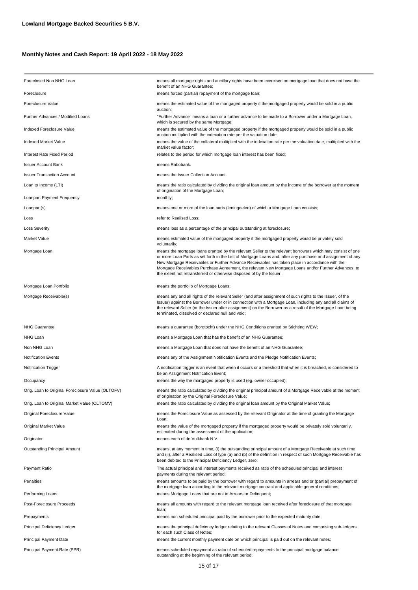| Foreclosed Non NHG Loan                           | means all mortgage rights and ancillary rights have been exercised on mortgage loan that does not have the<br>benefit of an NHG Guarantee;                                                                                                                                                                                                                                                                                                                                                                  |
|---------------------------------------------------|-------------------------------------------------------------------------------------------------------------------------------------------------------------------------------------------------------------------------------------------------------------------------------------------------------------------------------------------------------------------------------------------------------------------------------------------------------------------------------------------------------------|
| Foreclosure                                       | means forced (partial) repayment of the mortgage loan;                                                                                                                                                                                                                                                                                                                                                                                                                                                      |
| Foreclosure Value                                 | means the estimated value of the mortgaged property if the mortgaged property would be sold in a public<br>auction;                                                                                                                                                                                                                                                                                                                                                                                         |
| Further Advances / Modified Loans                 | "Further Advance" means a loan or a further advance to be made to a Borrower under a Mortgage Loan,<br>which is secured by the same Mortgage;                                                                                                                                                                                                                                                                                                                                                               |
| Indexed Foreclosure Value                         | means the estimated value of the mortgaged property if the mortgaged property would be sold in a public<br>auction multiplied with the indexation rate per the valuation date;                                                                                                                                                                                                                                                                                                                              |
| Indexed Market Value                              | means the value of the collateral multiplied with the indexation rate per the valuation date, multiplied with the<br>market value factor;                                                                                                                                                                                                                                                                                                                                                                   |
| Interest Rate Fixed Period                        | relates to the period for which mortgage loan interest has been fixed;                                                                                                                                                                                                                                                                                                                                                                                                                                      |
| <b>Issuer Account Bank</b>                        | means Rabobank.                                                                                                                                                                                                                                                                                                                                                                                                                                                                                             |
| <b>Issuer Transaction Account</b>                 | means the Issuer Collection Account.                                                                                                                                                                                                                                                                                                                                                                                                                                                                        |
| Loan to Income (LTI)                              | means the ratio calculated by dividing the original loan amount by the income of the borrower at the moment<br>of origination of the Mortgage Loan;                                                                                                                                                                                                                                                                                                                                                         |
| Loanpart Payment Frequency                        | monthly;                                                                                                                                                                                                                                                                                                                                                                                                                                                                                                    |
| Loanpart(s)                                       | means one or more of the loan parts (leningdelen) of which a Mortgage Loan consists;                                                                                                                                                                                                                                                                                                                                                                                                                        |
| Loss                                              | refer to Realised Loss;                                                                                                                                                                                                                                                                                                                                                                                                                                                                                     |
| <b>Loss Severity</b>                              | means loss as a percentage of the principal outstanding at foreclosure;                                                                                                                                                                                                                                                                                                                                                                                                                                     |
| Market Value                                      | means estimated value of the mortgaged property if the mortgaged property would be privately sold                                                                                                                                                                                                                                                                                                                                                                                                           |
|                                                   | voluntarily;                                                                                                                                                                                                                                                                                                                                                                                                                                                                                                |
| Mortgage Loan                                     | means the mortgage loans granted by the relevant Seller to the relevant borrowers which may consist of one<br>or more Loan Parts as set forth in the List of Mortgage Loans and, after any purchase and assignment of any<br>New Mortgage Receivables or Further Advance Receivables has taken place in accordance with the<br>Mortgage Receivables Purchase Agreement, the relevant New Mortgage Loans and/or Further Advances, to<br>the extent not retransferred or otherwise disposed of by the Issuer; |
| Mortgage Loan Portfolio                           | means the portfolio of Mortgage Loans;                                                                                                                                                                                                                                                                                                                                                                                                                                                                      |
| Mortgage Receivable(s)                            | means any and all rights of the relevant Seller (and after assignment of such rights to the Issuer, of the<br>Issuer) against the Borrower under or in connection with a Mortgage Loan, including any and all claims of<br>the relevant Seller (or the Issuer after assignment) on the Borrower as a result of the Mortgage Loan being<br>terminated, dissolved or declared null and void;                                                                                                                  |
| <b>NHG Guarantee</b>                              | means a guarantee (borgtocht) under the NHG Conditions granted by Stichting WEW;                                                                                                                                                                                                                                                                                                                                                                                                                            |
| NHG Loan                                          | means a Mortgage Loan that has the benefit of an NHG Guarantee;                                                                                                                                                                                                                                                                                                                                                                                                                                             |
| Non NHG Loan                                      | means a Mortgage Loan that does not have the benefit of an NHG Guarantee;                                                                                                                                                                                                                                                                                                                                                                                                                                   |
| <b>Notification Events</b>                        | means any of the Assignment Notification Events and the Pledge Notification Events;                                                                                                                                                                                                                                                                                                                                                                                                                         |
| <b>Notification Trigger</b>                       | A notification trigger is an event that when it occurs or a threshold that when it is breached, is considered to<br>be an Assignment Notification Event;                                                                                                                                                                                                                                                                                                                                                    |
| Occupancy                                         | means the way the mortgaged property is used (eg. owner occupied);                                                                                                                                                                                                                                                                                                                                                                                                                                          |
| Orig. Loan to Original Foreclosure Value (OLTOFV) | means the ratio calculated by dividing the original principal amount of a Mortgage Receivable at the moment<br>of origination by the Original Foreclosure Value;                                                                                                                                                                                                                                                                                                                                            |
| Orig. Loan to Original Market Value (OLTOMV)      | means the ratio calculated by dividing the original loan amount by the Original Market Value;                                                                                                                                                                                                                                                                                                                                                                                                               |
| Original Foreclosure Value                        | means the Foreclosure Value as assessed by the relevant Originator at the time of granting the Mortgage<br>Loan;                                                                                                                                                                                                                                                                                                                                                                                            |
| Original Market Value                             | means the value of the mortgaged property if the mortgaged property would be privately sold voluntarily,<br>estimated during the assessment of the application;                                                                                                                                                                                                                                                                                                                                             |
| Originator                                        | means each of de Volkbank N.V.                                                                                                                                                                                                                                                                                                                                                                                                                                                                              |
| Outstanding Principal Amount                      | means, at any moment in time, (i) the outstanding principal amount of a Mortgage Receivable at such time<br>and (ii), after a Realised Loss of type (a) and (b) of the definition in respect of such Mortgage Receivable has<br>been debited to the Principal Deficiency Ledger, zero;                                                                                                                                                                                                                      |
| Payment Ratio                                     | The actual principal and interest payments received as ratio of the scheduled principal and interest<br>payments during the relevant period;                                                                                                                                                                                                                                                                                                                                                                |
| Penalties                                         | means amounts to be paid by the borrower with regard to amounts in arrears and or (partial) prepayment of<br>the mortgage loan according to the relevant mortgage contract and applicable general conditions;                                                                                                                                                                                                                                                                                               |
| Performing Loans                                  | means Mortgage Loans that are not in Arrears or Delinquent;                                                                                                                                                                                                                                                                                                                                                                                                                                                 |
| Post-Foreclosure Proceeds                         | means all amounts with regard to the relevant mortgage loan received after foreclosure of that mortgage<br>loan;                                                                                                                                                                                                                                                                                                                                                                                            |
| Prepayments                                       | means non scheduled principal paid by the borrower prior to the expected maturity date;                                                                                                                                                                                                                                                                                                                                                                                                                     |
| Principal Deficiency Ledger                       | means the principal deficiency ledger relating to the relevant Classes of Notes and comprising sub-ledgers<br>for each such Class of Notes;                                                                                                                                                                                                                                                                                                                                                                 |
| <b>Principal Payment Date</b>                     | means the current monthly payment date on which principal is paid out on the relevant notes;                                                                                                                                                                                                                                                                                                                                                                                                                |
| Principal Payment Rate (PPR)                      | means scheduled repayment as ratio of scheduled repayments to the principal mortgage balance<br>outstanding at the beginning of the relevant period;                                                                                                                                                                                                                                                                                                                                                        |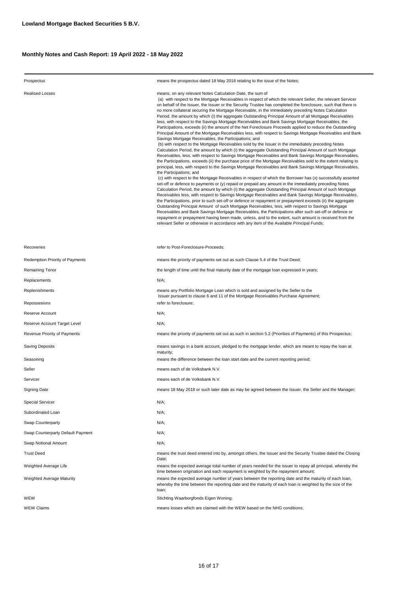| Prospectus                        | means the prospectus dated 18 May 2018 relating to the issue of the Notes;                                                                                                                                                                                                                                                                                                                                                                                                                                                                                                                                                                                                                                                                                                                                                                                                                                                                                                                                                                                                                                                                                                                                                                                                                                                                                                                                                                                                                                                                                                                                                                                                                                                                                                                                                                                                                                                                                                                                                                                                                                                                                                                                                                                                                                                                                                                                                                                            |
|-----------------------------------|-----------------------------------------------------------------------------------------------------------------------------------------------------------------------------------------------------------------------------------------------------------------------------------------------------------------------------------------------------------------------------------------------------------------------------------------------------------------------------------------------------------------------------------------------------------------------------------------------------------------------------------------------------------------------------------------------------------------------------------------------------------------------------------------------------------------------------------------------------------------------------------------------------------------------------------------------------------------------------------------------------------------------------------------------------------------------------------------------------------------------------------------------------------------------------------------------------------------------------------------------------------------------------------------------------------------------------------------------------------------------------------------------------------------------------------------------------------------------------------------------------------------------------------------------------------------------------------------------------------------------------------------------------------------------------------------------------------------------------------------------------------------------------------------------------------------------------------------------------------------------------------------------------------------------------------------------------------------------------------------------------------------------------------------------------------------------------------------------------------------------------------------------------------------------------------------------------------------------------------------------------------------------------------------------------------------------------------------------------------------------------------------------------------------------------------------------------------------------|
| Realised Losses                   | means, on any relevant Notes Calculation Date, the sum of<br>(a) with respect to the Mortgage Receivables in respect of which the relevant Seller, the relevant Servicer<br>on behalf of the Issuer, the Issuer or the Security Trustee has completed the foreclosure, such that there is<br>no more collateral securing the Mortgage Receivable, in the immediately preceding Notes Calculation<br>Period, the amount by which (i) the aggregate Outstanding Principal Amount of all Mortgage Receivables<br>less, with respect to the Savings Mortgage Receivables and Bank Savings Mortgage Receivables, the<br>Participations, exceeds (ii) the amount of the Net Foreclosure Proceeds applied to reduce the Outstanding<br>Principal Amount of the Mortgage Receivables less, with respect to Savings Mortgage Receivables and Bank<br>Savings Mortgage Receivables, the Participations; and<br>(b) with respect to the Mortgage Receivables sold by the Issuer in the immediately preceding Notes<br>Calculation Period, the amount by which (i) the aggregate Outstanding Principal Amount of such Mortgage<br>Receivables, less, with respect to Savings Mortgage Receivables and Bank Savings Mortgage Receivables,<br>the Participations, exceeds (ii) the purchase price of the Mortgage Receivables sold to the extent relating to<br>principal, less, with respect to the Savings Mortgage Receivables and Bank Savings Mortgage Receivables,<br>the Participations; and<br>(c) with respect to the Mortgage Receivables in respect of which the Borrower has (x) successfully asserted<br>set-off or defence to payments or (y) repaid or prepaid any amount in the immediately preceding Notes<br>Calculation Period, the amount by which (i) the aggregate Outstanding Principal Amount of such Mortgage<br>Receivables less, with respect to Savings Mortgage Receivables and Bank Savings Mortgage Receivables,<br>the Participations, prior to such set-off or defence or repayment or prepayment exceeds (ii) the aggregate<br>Outstanding Principal Amount of such Mortgage Receivables, less, with respect to Savings Mortgage<br>Receivables and Bank Savings Mortgage Receivables, the Participations after such set-off or defence or<br>repayment or prepayment having been made, unless, and to the extent, such amount is received from the<br>relevant Seller or otherwise in accordance with any item of the Available Principal Funds; |
| Recoveries                        | refer to Post-Foreclosure-Proceeds;                                                                                                                                                                                                                                                                                                                                                                                                                                                                                                                                                                                                                                                                                                                                                                                                                                                                                                                                                                                                                                                                                                                                                                                                                                                                                                                                                                                                                                                                                                                                                                                                                                                                                                                                                                                                                                                                                                                                                                                                                                                                                                                                                                                                                                                                                                                                                                                                                                   |
| Redemption Priority of Payments   | means the priority of payments set out as such Clause 5.4 of the Trust Deed;                                                                                                                                                                                                                                                                                                                                                                                                                                                                                                                                                                                                                                                                                                                                                                                                                                                                                                                                                                                                                                                                                                                                                                                                                                                                                                                                                                                                                                                                                                                                                                                                                                                                                                                                                                                                                                                                                                                                                                                                                                                                                                                                                                                                                                                                                                                                                                                          |
| Remaining Tenor                   | the length of time until the final maturity date of the mortgage loan expressed in years;                                                                                                                                                                                                                                                                                                                                                                                                                                                                                                                                                                                                                                                                                                                                                                                                                                                                                                                                                                                                                                                                                                                                                                                                                                                                                                                                                                                                                                                                                                                                                                                                                                                                                                                                                                                                                                                                                                                                                                                                                                                                                                                                                                                                                                                                                                                                                                             |
| Replacements                      | N/A;                                                                                                                                                                                                                                                                                                                                                                                                                                                                                                                                                                                                                                                                                                                                                                                                                                                                                                                                                                                                                                                                                                                                                                                                                                                                                                                                                                                                                                                                                                                                                                                                                                                                                                                                                                                                                                                                                                                                                                                                                                                                                                                                                                                                                                                                                                                                                                                                                                                                  |
| Replenishments                    | means any Portfolio Mortgage Loan which is sold and assigned by the Seller to the<br>Issuer pursuant to clause 6 and 11 of the Mortgage Receivables Purchase Agreement;                                                                                                                                                                                                                                                                                                                                                                                                                                                                                                                                                                                                                                                                                                                                                                                                                                                                                                                                                                                                                                                                                                                                                                                                                                                                                                                                                                                                                                                                                                                                                                                                                                                                                                                                                                                                                                                                                                                                                                                                                                                                                                                                                                                                                                                                                               |
| Repossesions                      | refer to foreclosure;                                                                                                                                                                                                                                                                                                                                                                                                                                                                                                                                                                                                                                                                                                                                                                                                                                                                                                                                                                                                                                                                                                                                                                                                                                                                                                                                                                                                                                                                                                                                                                                                                                                                                                                                                                                                                                                                                                                                                                                                                                                                                                                                                                                                                                                                                                                                                                                                                                                 |
| Reserve Account                   | $N/A$ ;                                                                                                                                                                                                                                                                                                                                                                                                                                                                                                                                                                                                                                                                                                                                                                                                                                                                                                                                                                                                                                                                                                                                                                                                                                                                                                                                                                                                                                                                                                                                                                                                                                                                                                                                                                                                                                                                                                                                                                                                                                                                                                                                                                                                                                                                                                                                                                                                                                                               |
| Reserve Account Target Level      | N/A;                                                                                                                                                                                                                                                                                                                                                                                                                                                                                                                                                                                                                                                                                                                                                                                                                                                                                                                                                                                                                                                                                                                                                                                                                                                                                                                                                                                                                                                                                                                                                                                                                                                                                                                                                                                                                                                                                                                                                                                                                                                                                                                                                                                                                                                                                                                                                                                                                                                                  |
| Revenue Priority of Payments      | means the priority of payments set out as such in section 5.2 (Priorities of Payments) of this Prospectus;                                                                                                                                                                                                                                                                                                                                                                                                                                                                                                                                                                                                                                                                                                                                                                                                                                                                                                                                                                                                                                                                                                                                                                                                                                                                                                                                                                                                                                                                                                                                                                                                                                                                                                                                                                                                                                                                                                                                                                                                                                                                                                                                                                                                                                                                                                                                                            |
| Saving Deposits                   | means savings in a bank account, pledged to the mortgage lender, which are meant to repay the loan at<br>maturity;                                                                                                                                                                                                                                                                                                                                                                                                                                                                                                                                                                                                                                                                                                                                                                                                                                                                                                                                                                                                                                                                                                                                                                                                                                                                                                                                                                                                                                                                                                                                                                                                                                                                                                                                                                                                                                                                                                                                                                                                                                                                                                                                                                                                                                                                                                                                                    |
| Seasoning                         | means the difference between the loan start date and the current reporting period;                                                                                                                                                                                                                                                                                                                                                                                                                                                                                                                                                                                                                                                                                                                                                                                                                                                                                                                                                                                                                                                                                                                                                                                                                                                                                                                                                                                                                                                                                                                                                                                                                                                                                                                                                                                                                                                                                                                                                                                                                                                                                                                                                                                                                                                                                                                                                                                    |
| Seller                            | means each of de Volksbank N.V.                                                                                                                                                                                                                                                                                                                                                                                                                                                                                                                                                                                                                                                                                                                                                                                                                                                                                                                                                                                                                                                                                                                                                                                                                                                                                                                                                                                                                                                                                                                                                                                                                                                                                                                                                                                                                                                                                                                                                                                                                                                                                                                                                                                                                                                                                                                                                                                                                                       |
| Servicer                          | means each of de Volksbank N.V.                                                                                                                                                                                                                                                                                                                                                                                                                                                                                                                                                                                                                                                                                                                                                                                                                                                                                                                                                                                                                                                                                                                                                                                                                                                                                                                                                                                                                                                                                                                                                                                                                                                                                                                                                                                                                                                                                                                                                                                                                                                                                                                                                                                                                                                                                                                                                                                                                                       |
| <b>Signing Date</b>               | means 18 May 2018 or such later date as may be agreed between the Issuer, the Seller and the Manager;                                                                                                                                                                                                                                                                                                                                                                                                                                                                                                                                                                                                                                                                                                                                                                                                                                                                                                                                                                                                                                                                                                                                                                                                                                                                                                                                                                                                                                                                                                                                                                                                                                                                                                                                                                                                                                                                                                                                                                                                                                                                                                                                                                                                                                                                                                                                                                 |
| Special Servicer                  | N/A;                                                                                                                                                                                                                                                                                                                                                                                                                                                                                                                                                                                                                                                                                                                                                                                                                                                                                                                                                                                                                                                                                                                                                                                                                                                                                                                                                                                                                                                                                                                                                                                                                                                                                                                                                                                                                                                                                                                                                                                                                                                                                                                                                                                                                                                                                                                                                                                                                                                                  |
| Subordinated Loan                 | N/A;                                                                                                                                                                                                                                                                                                                                                                                                                                                                                                                                                                                                                                                                                                                                                                                                                                                                                                                                                                                                                                                                                                                                                                                                                                                                                                                                                                                                                                                                                                                                                                                                                                                                                                                                                                                                                                                                                                                                                                                                                                                                                                                                                                                                                                                                                                                                                                                                                                                                  |
| Swap Counterparty                 | $N/A$ ;                                                                                                                                                                                                                                                                                                                                                                                                                                                                                                                                                                                                                                                                                                                                                                                                                                                                                                                                                                                                                                                                                                                                                                                                                                                                                                                                                                                                                                                                                                                                                                                                                                                                                                                                                                                                                                                                                                                                                                                                                                                                                                                                                                                                                                                                                                                                                                                                                                                               |
| Swap Counterparty Default Payment | N/A;                                                                                                                                                                                                                                                                                                                                                                                                                                                                                                                                                                                                                                                                                                                                                                                                                                                                                                                                                                                                                                                                                                                                                                                                                                                                                                                                                                                                                                                                                                                                                                                                                                                                                                                                                                                                                                                                                                                                                                                                                                                                                                                                                                                                                                                                                                                                                                                                                                                                  |
| Swap Notional Amount              | $N/A$ ;                                                                                                                                                                                                                                                                                                                                                                                                                                                                                                                                                                                                                                                                                                                                                                                                                                                                                                                                                                                                                                                                                                                                                                                                                                                                                                                                                                                                                                                                                                                                                                                                                                                                                                                                                                                                                                                                                                                                                                                                                                                                                                                                                                                                                                                                                                                                                                                                                                                               |
| <b>Trust Deed</b>                 | means the trust deed entered into by, amongst others, the Issuer and the Security Trustee dated the Closing<br>Date:                                                                                                                                                                                                                                                                                                                                                                                                                                                                                                                                                                                                                                                                                                                                                                                                                                                                                                                                                                                                                                                                                                                                                                                                                                                                                                                                                                                                                                                                                                                                                                                                                                                                                                                                                                                                                                                                                                                                                                                                                                                                                                                                                                                                                                                                                                                                                  |
| Weighted Average Life             | means the expected average total number of years needed for the issuer to repay all principal, whereby the<br>time between origination and each repayment is weighted by the repayment amount;                                                                                                                                                                                                                                                                                                                                                                                                                                                                                                                                                                                                                                                                                                                                                                                                                                                                                                                                                                                                                                                                                                                                                                                                                                                                                                                                                                                                                                                                                                                                                                                                                                                                                                                                                                                                                                                                                                                                                                                                                                                                                                                                                                                                                                                                        |
| Weighted Average Maturity         | means the expected average number of years between the reporting date and the maturity of each loan,<br>whereby the time between the reporting date and the maturity of each loan is weighted by the size of the<br>loan;                                                                                                                                                                                                                                                                                                                                                                                                                                                                                                                                                                                                                                                                                                                                                                                                                                                                                                                                                                                                                                                                                                                                                                                                                                                                                                                                                                                                                                                                                                                                                                                                                                                                                                                                                                                                                                                                                                                                                                                                                                                                                                                                                                                                                                             |
| WEW                               | Stichting Waarborgfonds Eigen Woning;                                                                                                                                                                                                                                                                                                                                                                                                                                                                                                                                                                                                                                                                                                                                                                                                                                                                                                                                                                                                                                                                                                                                                                                                                                                                                                                                                                                                                                                                                                                                                                                                                                                                                                                                                                                                                                                                                                                                                                                                                                                                                                                                                                                                                                                                                                                                                                                                                                 |
| WEW Claims                        | means losses which are claimed with the WEW based on the NHG conditions;                                                                                                                                                                                                                                                                                                                                                                                                                                                                                                                                                                                                                                                                                                                                                                                                                                                                                                                                                                                                                                                                                                                                                                                                                                                                                                                                                                                                                                                                                                                                                                                                                                                                                                                                                                                                                                                                                                                                                                                                                                                                                                                                                                                                                                                                                                                                                                                              |